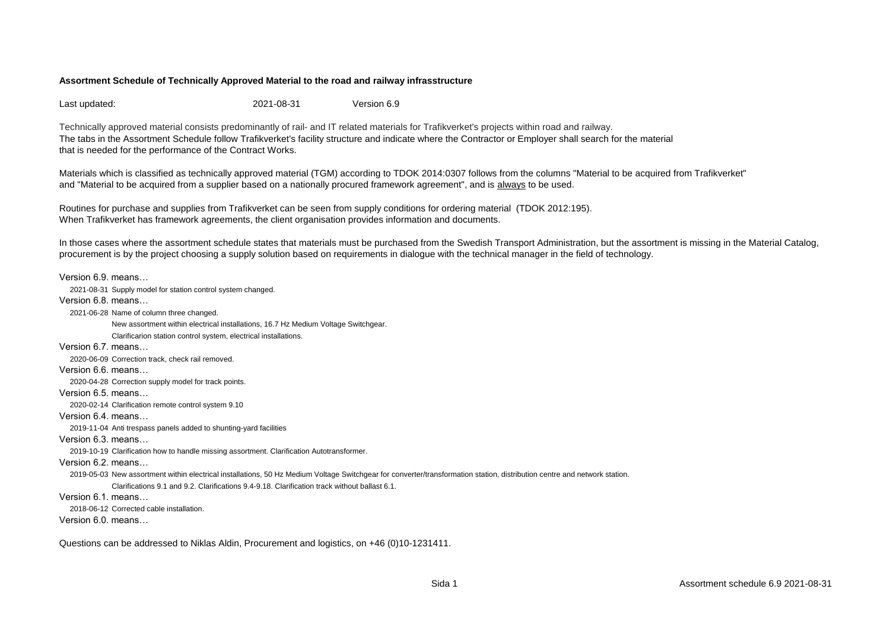Last updated: 2021-08-31 Version 6.9

Technically approved material consists predominantly of rail- and IT related materials for Trafikverket's projects within road and railway. The tabs in the Assortment Schedule follow Trafikverket's facility structure and indicate where the Contractor or Employer shall search for the material that is needed for the performance of the Contract Works.

Materials which is classified as technically approved material (TGM) according to TDOK 2014:0307 follows from the columns "Material to be acquired from Trafikverket" and "Material to be acquired from a supplier based on a nationally procured framework agreement", and is always to be used.

Routines for purchase and supplies from Trafikverket can be seen from supply conditions for ordering material (TDOK 2012:195). When Trafikverket has framework agreements, the client organisation provides information and documents.

In those cases where the assortment schedule states that materials must be purchased from the Swedish Transport Administration, but the assortment is missing in the Material Catalog, procurement is by the project choosing a supply solution based on requirements in dialogue with the technical manager in the field of technology.

```
Version 6.9. means…
  2021-08-31 Supply model for station control system changed.
Version 6.8. means…
  2021-06-28 Name of column three changed.
              New assortment within electrical installations, 16.7 Hz Medium Voltage Switchgear. 
              Clarificarion station control system, electrical installations.
Version 6.7. means…
   2020-06-09 Correction track, check rail removed.
Version 6.6. means…
   2020-04-28 Correction supply model for track points.
Version 6.5. means…
  2020-02-14 Clarification remote control system 9.10
Version 6.4. means…
  2019-11-04 Anti trespass panels added to shunting-yard facilities
Version 6.3. means…
   2019-10-19 Clarification how to handle missing assortment. Clarification Autotransformer.
Version 6.2. means…
   2019-05-03 New assortment within electrical installations, 50 Hz Medium Voltage Switchgear for converter/transformation station, distribution centre and network station. 
              Clarifications 9.1 and 9.2. Clarifications 9.4-9.18. Clarification track without ballast 6.1.
Version 6.1. means…
   2018-06-12 Corrected cable installation.
Version 6.0. means…
```
Questions can be addressed to Niklas Aldin, Procurement and logistics, on +46 (0)10-1231411.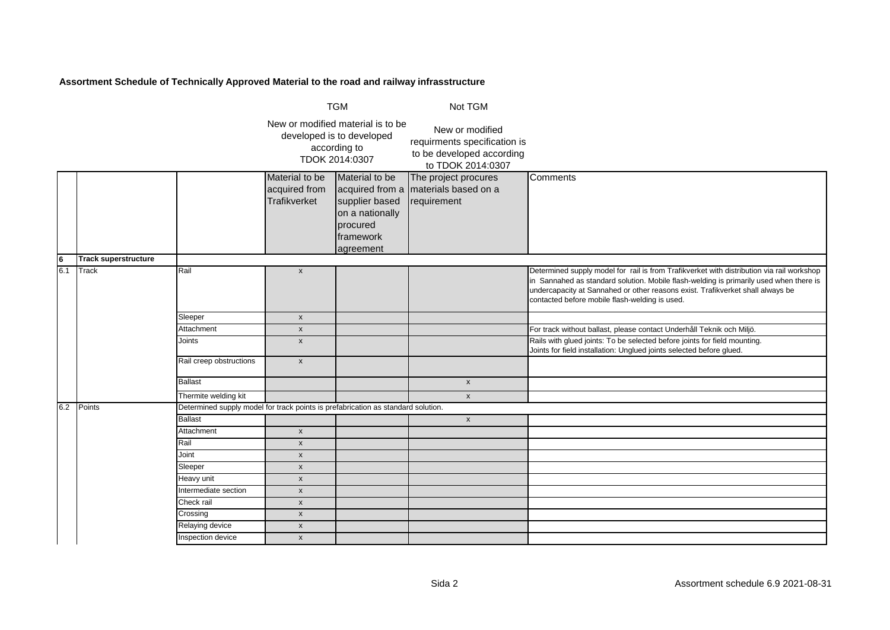|                         |                             | <b>TGM</b>                                                                       |                                                 | Not TGM                                                                                          |                                                                                                   |                                                                                                                                                                                                                                                                                                                         |
|-------------------------|-----------------------------|----------------------------------------------------------------------------------|-------------------------------------------------|--------------------------------------------------------------------------------------------------|---------------------------------------------------------------------------------------------------|-------------------------------------------------------------------------------------------------------------------------------------------------------------------------------------------------------------------------------------------------------------------------------------------------------------------------|
|                         |                             |                                                                                  |                                                 | New or modified material is to be<br>developed is to developed<br>according to<br>TDOK 2014:0307 | New or modified<br>requirments specification is<br>to be developed according<br>to TDOK 2014:0307 |                                                                                                                                                                                                                                                                                                                         |
|                         |                             |                                                                                  | Material to be<br>acquired from<br>Trafikverket | Material to be<br>supplier based<br>on a nationally<br>procured<br>framework<br>agreement        | The project procures<br>acquired from a materials based on a<br>requirement                       | Comments                                                                                                                                                                                                                                                                                                                |
| $\overline{\mathbf{6}}$ | <b>Track superstructure</b> |                                                                                  |                                                 |                                                                                                  |                                                                                                   |                                                                                                                                                                                                                                                                                                                         |
| 6.1                     | <b>Track</b>                | Rail                                                                             | $\pmb{\mathsf{x}}$                              |                                                                                                  |                                                                                                   | Determined supply model for rail is from Trafikverket with distribution via rail workshop<br>in Sannahed as standard solution. Mobile flash-welding is primarily used when there is<br>undercapacity at Sannahed or other reasons exist. Trafikverket shall always be<br>contacted before mobile flash-welding is used. |
|                         |                             | Sleeper                                                                          | $\pmb{\mathsf{x}}$                              |                                                                                                  |                                                                                                   |                                                                                                                                                                                                                                                                                                                         |
|                         |                             | Attachment                                                                       | $\pmb{\mathsf{x}}$                              |                                                                                                  |                                                                                                   | For track without ballast, please contact Underhåll Teknik och Miljö.                                                                                                                                                                                                                                                   |
|                         |                             | Joints                                                                           | $\pmb{\mathsf{x}}$                              |                                                                                                  |                                                                                                   | Rails with glued joints: To be selected before joints for field mounting.<br>Joints for field installation: Unglued joints selected before glued.                                                                                                                                                                       |
|                         |                             | Rail creep obstructions                                                          | $\pmb{\mathsf{x}}$                              |                                                                                                  |                                                                                                   |                                                                                                                                                                                                                                                                                                                         |
|                         |                             | <b>Ballast</b>                                                                   |                                                 |                                                                                                  | $\pmb{\chi}$                                                                                      |                                                                                                                                                                                                                                                                                                                         |
|                         |                             | Thermite welding kit                                                             |                                                 |                                                                                                  | $\pmb{\chi}$                                                                                      |                                                                                                                                                                                                                                                                                                                         |
| 6.2                     | Points                      | Determined supply model for track points is prefabrication as standard solution. |                                                 |                                                                                                  |                                                                                                   |                                                                                                                                                                                                                                                                                                                         |
|                         |                             | <b>Ballast</b>                                                                   |                                                 |                                                                                                  | $\mathsf{x}$                                                                                      |                                                                                                                                                                                                                                                                                                                         |
|                         |                             | Attachment                                                                       | $\pmb{\mathsf{x}}$                              |                                                                                                  |                                                                                                   |                                                                                                                                                                                                                                                                                                                         |
|                         |                             | Rail                                                                             | $\pmb{\mathsf{x}}$                              |                                                                                                  |                                                                                                   |                                                                                                                                                                                                                                                                                                                         |
|                         |                             | Joint                                                                            | $\pmb{\mathsf{x}}$                              |                                                                                                  |                                                                                                   |                                                                                                                                                                                                                                                                                                                         |
|                         |                             | Sleeper                                                                          | $\pmb{\mathsf{x}}$                              |                                                                                                  |                                                                                                   |                                                                                                                                                                                                                                                                                                                         |
|                         |                             | Heavy unit                                                                       | $\pmb{\mathsf{x}}$                              |                                                                                                  |                                                                                                   |                                                                                                                                                                                                                                                                                                                         |
|                         |                             | Intermediate section                                                             | $\pmb{\mathsf{x}}$                              |                                                                                                  |                                                                                                   |                                                                                                                                                                                                                                                                                                                         |
|                         |                             | Check rail                                                                       | $\pmb{\mathsf{x}}$                              |                                                                                                  |                                                                                                   |                                                                                                                                                                                                                                                                                                                         |
|                         |                             | Crossing                                                                         | $\pmb{\mathsf{x}}$                              |                                                                                                  |                                                                                                   |                                                                                                                                                                                                                                                                                                                         |
|                         |                             | Relaying device                                                                  | $\pmb{\mathsf{x}}$                              |                                                                                                  |                                                                                                   |                                                                                                                                                                                                                                                                                                                         |
|                         |                             | Inspection device                                                                | $\pmb{\mathsf{x}}$                              |                                                                                                  |                                                                                                   |                                                                                                                                                                                                                                                                                                                         |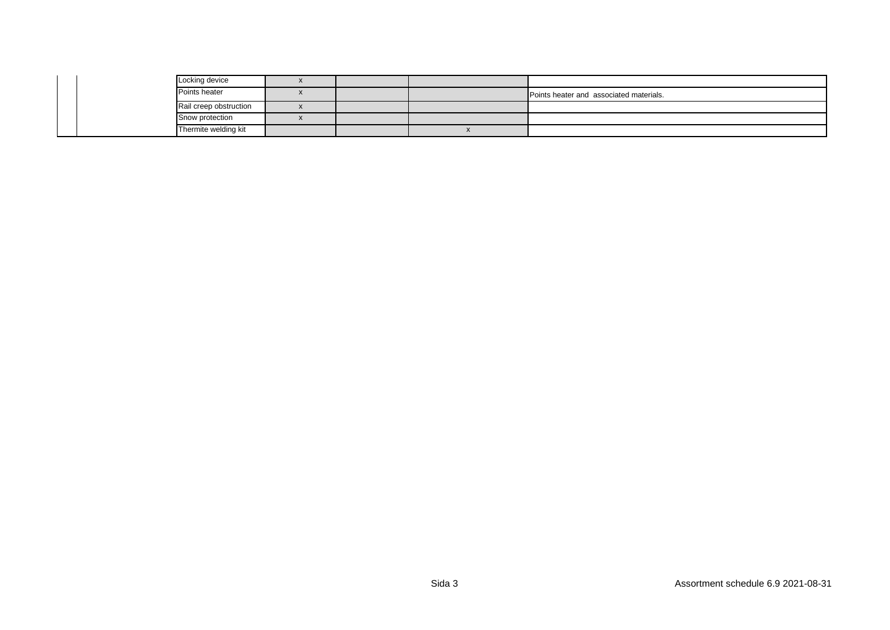|  | Locking device         |  |                                         |
|--|------------------------|--|-----------------------------------------|
|  | Points heater          |  | Points heater and associated materials. |
|  | Rail creep obstruction |  |                                         |
|  | Snow protection        |  |                                         |
|  | Thermite welding kit   |  |                                         |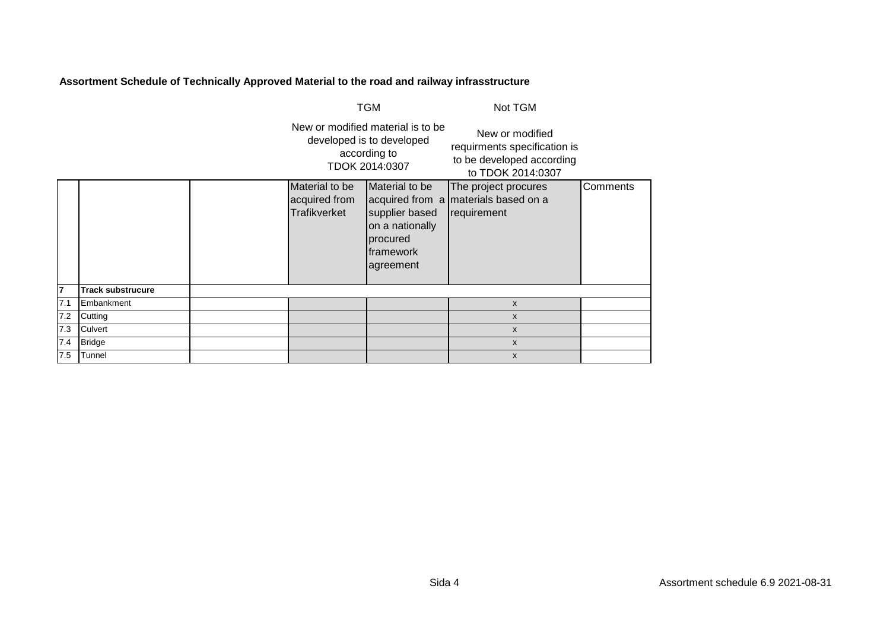|     |                          |                                                 | <b>TGM</b>                                                                                       | Not TGM                                                                                           |          |
|-----|--------------------------|-------------------------------------------------|--------------------------------------------------------------------------------------------------|---------------------------------------------------------------------------------------------------|----------|
|     |                          |                                                 | New or modified material is to be<br>developed is to developed<br>according to<br>TDOK 2014:0307 | New or modified<br>requirments specification is<br>to be developed according<br>to TDOK 2014:0307 |          |
|     |                          | Material to be<br>acquired from<br>Trafikverket | Material to be<br>supplier based<br>on a nationally<br>procured<br>framework<br>agreement        | The project procures<br>acquired from a materials based on a<br>requirement                       | Comments |
| 7   | <b>Track substrucure</b> |                                                 |                                                                                                  |                                                                                                   |          |
| 7.1 | Embankment               |                                                 |                                                                                                  | $\mathsf{x}$                                                                                      |          |
| 7.2 | Cutting                  |                                                 |                                                                                                  | X                                                                                                 |          |
| 7.3 | Culvert                  |                                                 |                                                                                                  | $\mathsf{x}$                                                                                      |          |
| 7.4 | <b>Bridge</b>            |                                                 |                                                                                                  | X                                                                                                 |          |
| 7.5 | Tunnel                   |                                                 |                                                                                                  | x                                                                                                 |          |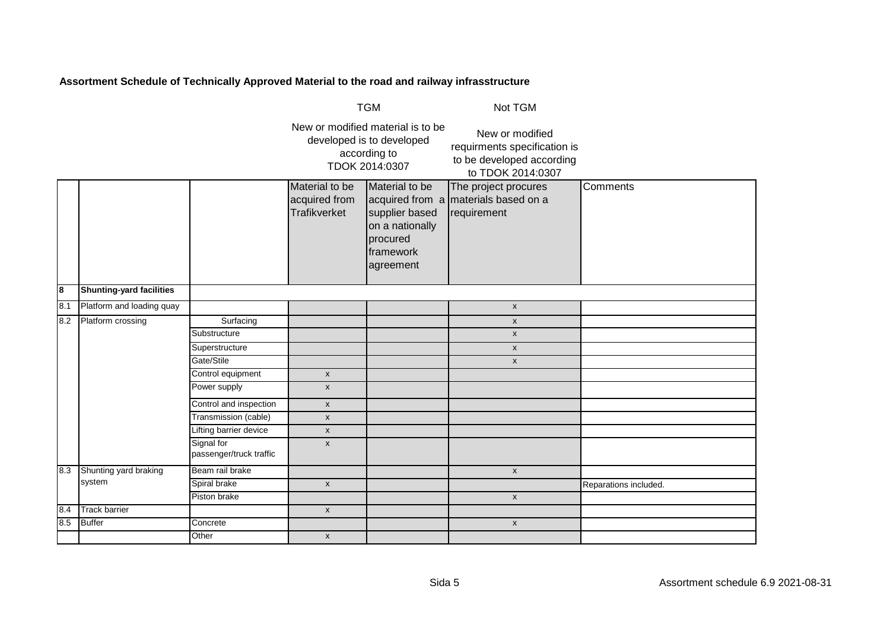|     |                                 |                                       |                                                 | <b>TGM</b>                                                                                       | Not TGM                                                                                           |                       |
|-----|---------------------------------|---------------------------------------|-------------------------------------------------|--------------------------------------------------------------------------------------------------|---------------------------------------------------------------------------------------------------|-----------------------|
|     |                                 |                                       |                                                 | New or modified material is to be<br>developed is to developed<br>according to<br>TDOK 2014:0307 | New or modified<br>requirments specification is<br>to be developed according<br>to TDOK 2014:0307 |                       |
|     |                                 |                                       | Material to be<br>acquired from<br>Trafikverket | Material to be<br>supplier based<br>on a nationally<br>procured<br>framework<br>agreement        | The project procures<br>acquired from a materials based on a<br>requirement                       | Comments              |
| 8   | <b>Shunting-yard facilities</b> |                                       |                                                 |                                                                                                  |                                                                                                   |                       |
| 8.1 | Platform and loading quay       |                                       |                                                 |                                                                                                  | $\pmb{\mathsf{x}}$                                                                                |                       |
| 8.2 | Platform crossing               | Surfacing                             |                                                 |                                                                                                  | $\pmb{\mathsf{x}}$                                                                                |                       |
|     |                                 | Substructure                          |                                                 |                                                                                                  | X                                                                                                 |                       |
|     |                                 | Superstructure                        |                                                 |                                                                                                  | $\mathsf X$                                                                                       |                       |
|     |                                 | Gate/Stile                            |                                                 |                                                                                                  | $\pmb{\mathsf{x}}$                                                                                |                       |
|     |                                 | Control equipment                     | $\mathsf X$                                     |                                                                                                  |                                                                                                   |                       |
|     |                                 | Power supply                          | $\mathsf X$                                     |                                                                                                  |                                                                                                   |                       |
|     |                                 | Control and inspection                | $\boldsymbol{\mathsf{x}}$                       |                                                                                                  |                                                                                                   |                       |
|     |                                 | Transmission (cable)                  | $\mathsf{x}$                                    |                                                                                                  |                                                                                                   |                       |
|     |                                 | Lifting barrier device                | $\mathsf X$                                     |                                                                                                  |                                                                                                   |                       |
|     |                                 | Signal for<br>passenger/truck traffic | X                                               |                                                                                                  |                                                                                                   |                       |
| 8.3 | Shunting yard braking           | Beam rail brake                       |                                                 |                                                                                                  | $\pmb{\mathsf{x}}$                                                                                |                       |
|     | system                          | Spiral brake                          | $\mathsf{x}$                                    |                                                                                                  |                                                                                                   | Reparations included. |
|     |                                 | Piston brake                          |                                                 |                                                                                                  | X                                                                                                 |                       |
| 8.4 | <b>Track barrier</b>            |                                       | $\pmb{\mathsf{x}}$                              |                                                                                                  |                                                                                                   |                       |
| 8.5 | <b>Buffer</b>                   | Concrete                              |                                                 |                                                                                                  | $\pmb{\mathsf{x}}$                                                                                |                       |
|     |                                 | Other                                 | $\boldsymbol{\mathsf{x}}$                       |                                                                                                  |                                                                                                   |                       |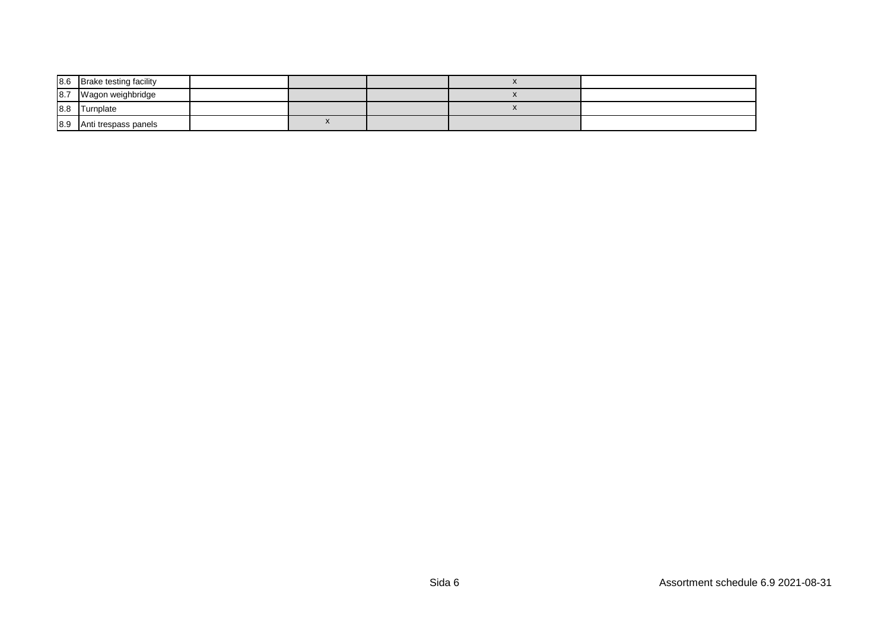| 8.6 | <b>Brake testing facility</b> |  |  |  |
|-----|-------------------------------|--|--|--|
| 8.7 | Wagon weighbridge             |  |  |  |
| 8.8 | Turnplate                     |  |  |  |
| 8.9 | Anti trespass panels          |  |  |  |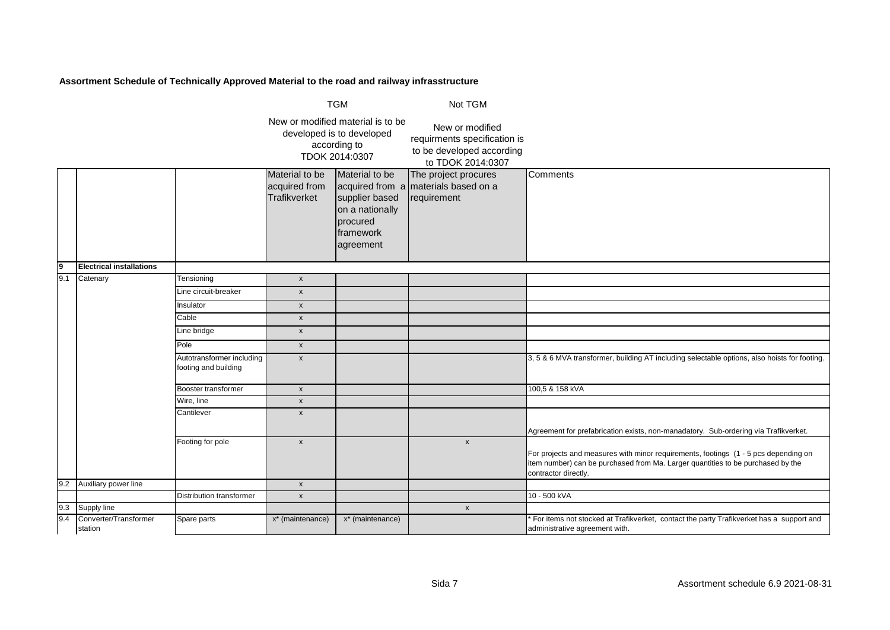|                 |                                  |                                                   |                                                        | <b>TGM</b>                                                                                        | Not TGM                                                                                           |                                                                                                                                                                                                |
|-----------------|----------------------------------|---------------------------------------------------|--------------------------------------------------------|---------------------------------------------------------------------------------------------------|---------------------------------------------------------------------------------------------------|------------------------------------------------------------------------------------------------------------------------------------------------------------------------------------------------|
|                 |                                  |                                                   |                                                        | New or modified material is to be<br>developed is to developed<br>according to<br>TDOK 2014:0307  | New or modified<br>requirments specification is<br>to be developed according<br>to TDOK 2014:0307 |                                                                                                                                                                                                |
|                 |                                  |                                                   | Material to be<br>acquired from<br><b>Trafikverket</b> | Material to be<br>supplier based<br>on a nationally<br>procured<br><b>Iframework</b><br>agreement | The project procures<br>acquired from a materials based on a<br>requirement                       | Comments                                                                                                                                                                                       |
| $\frac{9}{9.1}$ | <b>Electrical installations</b>  |                                                   |                                                        |                                                                                                   |                                                                                                   |                                                                                                                                                                                                |
|                 | Catenary                         | Tensioning                                        | $\boldsymbol{x}$                                       |                                                                                                   |                                                                                                   |                                                                                                                                                                                                |
|                 |                                  | Line circuit-breaker                              | $\pmb{\mathsf{x}}$                                     |                                                                                                   |                                                                                                   |                                                                                                                                                                                                |
|                 |                                  | Insulator                                         | $\pmb{\chi}$                                           |                                                                                                   |                                                                                                   |                                                                                                                                                                                                |
|                 |                                  | Cable                                             | $\pmb{\mathsf{x}}$                                     |                                                                                                   |                                                                                                   |                                                                                                                                                                                                |
|                 |                                  | Line bridge                                       | $\pmb{\mathsf{x}}$                                     |                                                                                                   |                                                                                                   |                                                                                                                                                                                                |
|                 |                                  | Pole                                              | $\pmb{\mathsf{x}}$                                     |                                                                                                   |                                                                                                   |                                                                                                                                                                                                |
|                 |                                  | Autotransformer including<br>footing and building | $\pmb{\mathsf{x}}$                                     |                                                                                                   |                                                                                                   | 3, 5 & 6 MVA transformer, building AT including selectable options, also hoists for footing.                                                                                                   |
|                 |                                  | Booster transformer                               | $\pmb{\mathsf{x}}$                                     |                                                                                                   |                                                                                                   | 100,5 & 158 kVA                                                                                                                                                                                |
|                 |                                  | Wire, line                                        | $\pmb{\mathsf{x}}$                                     |                                                                                                   |                                                                                                   |                                                                                                                                                                                                |
|                 |                                  | Cantilever                                        | $\pmb{\mathsf{x}}$                                     |                                                                                                   |                                                                                                   | Agreement for prefabrication exists, non-manadatory. Sub-ordering via Trafikverket.                                                                                                            |
|                 |                                  | Footing for pole                                  | $\pmb{\chi}$                                           |                                                                                                   | $\boldsymbol{\mathsf{x}}$                                                                         | For projects and measures with minor requirements, footings (1 - 5 pcs depending on<br>item number) can be purchased from Ma. Larger quantities to be purchased by the<br>contractor directly. |
| 9.2             | Auxiliary power line             |                                                   | $\pmb{\mathsf{x}}$                                     |                                                                                                   |                                                                                                   |                                                                                                                                                                                                |
|                 |                                  | <b>Distribution transformer</b>                   | $\pmb{\mathsf{x}}$                                     |                                                                                                   |                                                                                                   | 10 - 500 kVA                                                                                                                                                                                   |
| 9.3             | Supply line                      |                                                   |                                                        |                                                                                                   | $\pmb{\times}$                                                                                    |                                                                                                                                                                                                |
| 9.4             | Converter/Transformer<br>station | Spare parts                                       | $x^*$ (maintenance)                                    | x* (maintenance)                                                                                  |                                                                                                   | For items not stocked at Trafikverket, contact the party Trafikverket has a support and<br>administrative agreement with.                                                                      |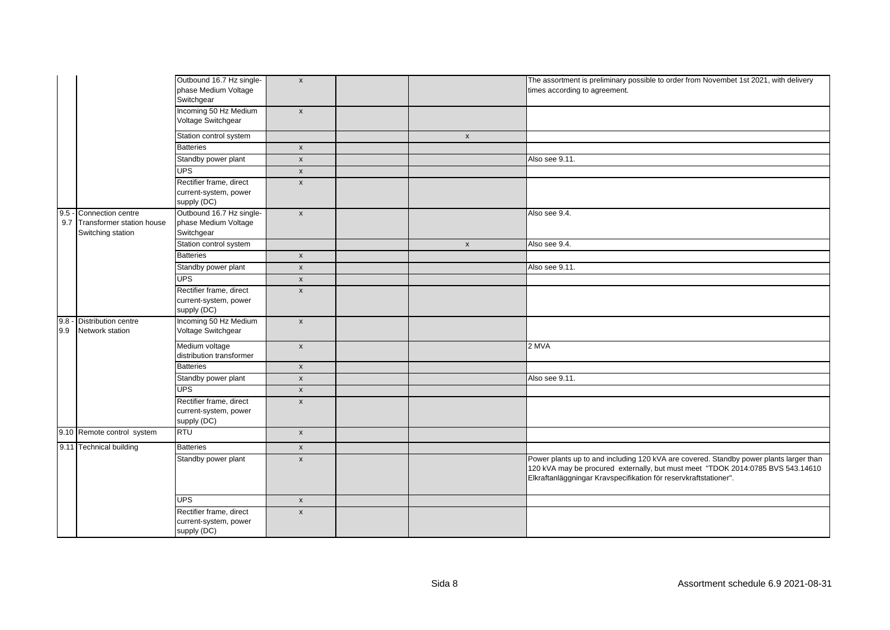|                   |                                                                               | Outbound 16.7 Hz single-<br>phase Medium Voltage<br>Switchgear  | $\mathsf{x}$       |                    | The assortment is preliminary possible to order from Novembet 1st 2021, with delivery<br>times according to agreement.                                                                                                                        |
|-------------------|-------------------------------------------------------------------------------|-----------------------------------------------------------------|--------------------|--------------------|-----------------------------------------------------------------------------------------------------------------------------------------------------------------------------------------------------------------------------------------------|
|                   |                                                                               | Incoming 50 Hz Medium<br>Voltage Switchgear                     | $\mathsf{x}$       |                    |                                                                                                                                                                                                                                               |
|                   |                                                                               | Station control system                                          |                    | $\pmb{\mathsf{x}}$ |                                                                                                                                                                                                                                               |
|                   |                                                                               | <b>Batteries</b>                                                | $\pmb{\mathsf{x}}$ |                    |                                                                                                                                                                                                                                               |
|                   |                                                                               | Standby power plant                                             | $\mathsf X$        |                    | Also see 9.11.                                                                                                                                                                                                                                |
|                   |                                                                               | <b>UPS</b>                                                      | $\pmb{\mathsf{x}}$ |                    |                                                                                                                                                                                                                                               |
|                   |                                                                               | Rectifier frame, direct<br>current-system, power<br>supply (DC) | $\pmb{\mathsf{x}}$ |                    |                                                                                                                                                                                                                                               |
|                   | 9.5 - Connection centre<br>9.7 Transformer station house<br>Switching station | Outbound 16.7 Hz single-<br>phase Medium Voltage<br>Switchgear  | $\mathsf{x}$       |                    | Also see 9.4.                                                                                                                                                                                                                                 |
|                   |                                                                               | Station control system                                          |                    | $\pmb{\mathsf{x}}$ | Also see 9.4.                                                                                                                                                                                                                                 |
|                   |                                                                               | <b>Batteries</b>                                                | $\pmb{\mathsf{x}}$ |                    |                                                                                                                                                                                                                                               |
|                   |                                                                               | Standby power plant                                             | $\mathsf X$        |                    | Also see 9.11.                                                                                                                                                                                                                                |
|                   |                                                                               | <b>UPS</b>                                                      | $\pmb{\mathsf{X}}$ |                    |                                                                                                                                                                                                                                               |
|                   |                                                                               | Rectifier frame, direct<br>current-system, power<br>supply (DC) | $\pmb{\chi}$       |                    |                                                                                                                                                                                                                                               |
| $\frac{9.8}{9.9}$ | - Distribution centre<br>Network station                                      | Incoming 50 Hz Medium<br>Voltage Switchgear                     | $\mathsf{x}$       |                    |                                                                                                                                                                                                                                               |
|                   |                                                                               | Medium voltage<br>distribution transformer                      | $\pmb{\mathsf{x}}$ |                    | $2$ MVA                                                                                                                                                                                                                                       |
|                   |                                                                               | <b>Batteries</b>                                                | $\mathsf X$        |                    |                                                                                                                                                                                                                                               |
|                   |                                                                               | Standby power plant                                             | $\mathsf{x}$       |                    | Also see 9.11.                                                                                                                                                                                                                                |
|                   |                                                                               | <b>UPS</b>                                                      | $\pmb{\mathsf{x}}$ |                    |                                                                                                                                                                                                                                               |
|                   |                                                                               | Rectifier frame, direct<br>current-system, power<br>supply (DC) | $\pmb{\mathsf{x}}$ |                    |                                                                                                                                                                                                                                               |
|                   | 9.10 Remote control system                                                    | <b>RTU</b>                                                      | $\pmb{\mathsf{x}}$ |                    |                                                                                                                                                                                                                                               |
|                   | 9.11 Technical building                                                       | <b>Batteries</b>                                                | $\mathsf X$        |                    |                                                                                                                                                                                                                                               |
|                   |                                                                               | Standby power plant                                             | $\pmb{\chi}$       |                    | Power plants up to and including 120 kVA are covered. Standby power plants larger than<br>120 kVA may be procured externally, but must meet "TDOK 2014:0785 BVS 543.14610<br>Elkraftanläggningar Kravspecifikation för reservkraftstationer". |
|                   |                                                                               | <b>UPS</b>                                                      | $\mathsf X$        |                    |                                                                                                                                                                                                                                               |
|                   |                                                                               | Rectifier frame, direct<br>current-system, power<br>supply (DC) | $\pmb{\chi}$       |                    |                                                                                                                                                                                                                                               |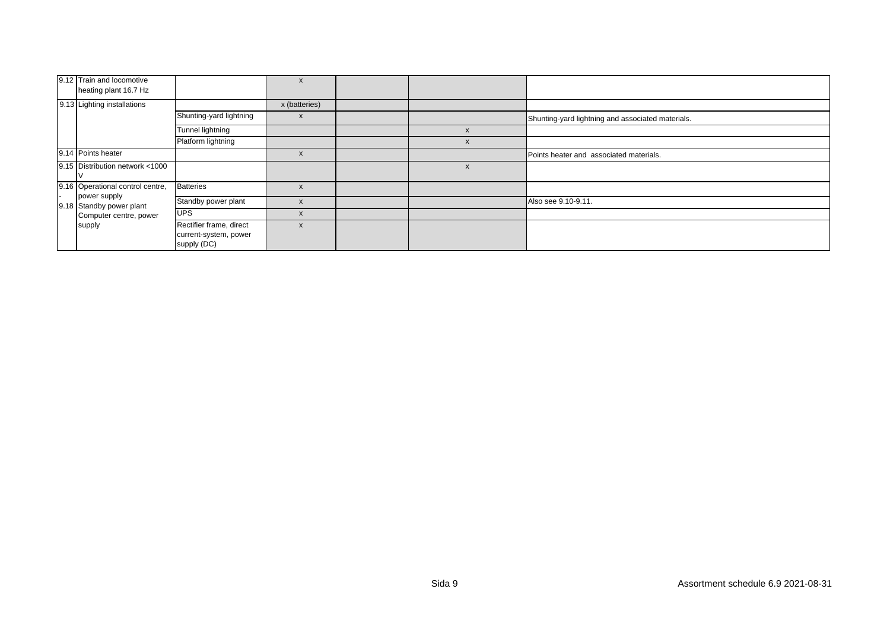| 9.12 Train and locomotive<br>heating plant 16.7 Hz |                                                                 | $\boldsymbol{\lambda}$    |   |                                                   |
|----------------------------------------------------|-----------------------------------------------------------------|---------------------------|---|---------------------------------------------------|
| 9.13 Lighting installations                        |                                                                 | x (batteries)             |   |                                                   |
|                                                    | Shunting-yard lightning                                         | $\boldsymbol{\mathsf{x}}$ |   | Shunting-yard lightning and associated materials. |
|                                                    | Tunnel lightning                                                |                           |   |                                                   |
|                                                    | Platform lightning                                              |                           |   |                                                   |
| 9.14 Points heater                                 |                                                                 | X                         |   | Points heater and associated materials.           |
| 9.15 Distribution network <1000                    |                                                                 |                           | X |                                                   |
| 9.16 Operational control centre,                   | <b>Batteries</b>                                                |                           |   |                                                   |
| power supply<br>9.18 Standby power plant           | Standby power plant                                             |                           |   | Also see 9.10-9.11.                               |
| Computer centre, power                             | <b>UPS</b>                                                      | X                         |   |                                                   |
| supply                                             | Rectifier frame, direct<br>current-system, power<br>supply (DC) | $\boldsymbol{\mathsf{x}}$ |   |                                                   |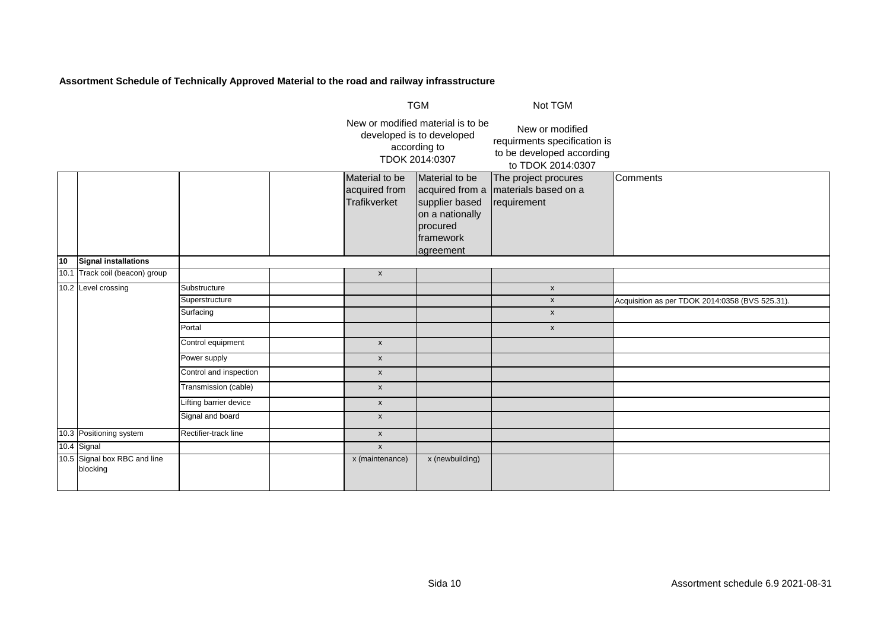|    |                                          |                        |                                                 | <b>TGM</b>                                                                                       | Not TGM                                                                                           |                                                 |
|----|------------------------------------------|------------------------|-------------------------------------------------|--------------------------------------------------------------------------------------------------|---------------------------------------------------------------------------------------------------|-------------------------------------------------|
|    |                                          |                        |                                                 | New or modified material is to be<br>developed is to developed<br>according to<br>TDOK 2014:0307 | New or modified<br>requirments specification is<br>to be developed according<br>to TDOK 2014:0307 |                                                 |
|    |                                          |                        | Material to be<br>acquired from<br>Trafikverket | Material to be<br>supplier based<br>on a nationally<br>procured<br>framework<br>agreement        | The project procures<br>acquired from a materials based on a<br>requirement                       | Comments                                        |
| 10 | Signal installations                     |                        |                                                 |                                                                                                  |                                                                                                   |                                                 |
|    | 10.1 Track coil (beacon) group           |                        | $\boldsymbol{\mathsf{x}}$                       |                                                                                                  |                                                                                                   |                                                 |
|    | 10.2 Level crossing                      | Substructure           |                                                 |                                                                                                  | $\pmb{\mathsf{x}}$                                                                                |                                                 |
|    |                                          | Superstructure         |                                                 |                                                                                                  | $\mathsf{x}$                                                                                      | Acquisition as per TDOK 2014:0358 (BVS 525.31). |
|    |                                          | Surfacing              |                                                 |                                                                                                  | $\pmb{\mathsf{x}}$                                                                                |                                                 |
|    |                                          | Portal                 |                                                 |                                                                                                  | $\pmb{\mathsf{x}}$                                                                                |                                                 |
|    |                                          | Control equipment      | $\pmb{\mathsf{x}}$                              |                                                                                                  |                                                                                                   |                                                 |
|    |                                          | Power supply           | $\pmb{\mathsf{X}}$                              |                                                                                                  |                                                                                                   |                                                 |
|    |                                          | Control and inspection | $\pmb{\mathsf{X}}$                              |                                                                                                  |                                                                                                   |                                                 |
|    |                                          | Transmission (cable)   | $\pmb{\chi}$                                    |                                                                                                  |                                                                                                   |                                                 |
|    |                                          | Lifting barrier device | $\boldsymbol{\mathsf{x}}$                       |                                                                                                  |                                                                                                   |                                                 |
|    |                                          | Signal and board       | $\pmb{\mathsf{X}}$                              |                                                                                                  |                                                                                                   |                                                 |
|    | 10.3 Positioning system                  | Rectifier-track line   | $\boldsymbol{\mathsf{x}}$                       |                                                                                                  |                                                                                                   |                                                 |
|    | 10.4 Signal                              |                        | $\boldsymbol{\mathsf{x}}$                       |                                                                                                  |                                                                                                   |                                                 |
|    | 10.5 Signal box RBC and line<br>blocking |                        | x (maintenance)                                 | x (newbuilding)                                                                                  |                                                                                                   |                                                 |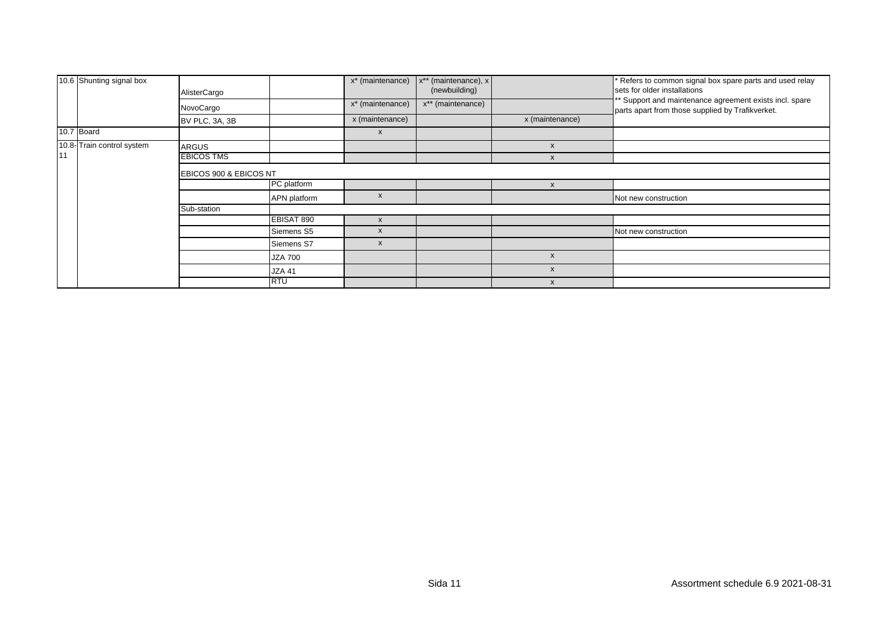|    | 10.6 Shunting signal box   | AlisterCargo           |                | x <sup>*</sup> (maintenance)<br>x* (maintenance) | x** (maintenance), x<br>(newbuilding)<br>x** (maintenance) |                           | Refers to common signal box spare parts and used relay<br>sets for older installations<br>** Support and maintenance agreement exists incl. spare |  |  |  |
|----|----------------------------|------------------------|----------------|--------------------------------------------------|------------------------------------------------------------|---------------------------|---------------------------------------------------------------------------------------------------------------------------------------------------|--|--|--|
|    |                            | NovoCargo              |                |                                                  |                                                            |                           | parts apart from those supplied by Trafikverket.                                                                                                  |  |  |  |
|    |                            | BV PLC, 3A, 3B         |                | x (maintenance)                                  |                                                            | x (maintenance)           |                                                                                                                                                   |  |  |  |
|    | 10.7 Board                 |                        |                | $\boldsymbol{\mathsf{x}}$                        |                                                            |                           |                                                                                                                                                   |  |  |  |
|    | 10.8- Train control system | <b>ARGUS</b>           |                |                                                  |                                                            | $\boldsymbol{\mathsf{x}}$ |                                                                                                                                                   |  |  |  |
| 11 |                            | <b>EBICOS TMS</b>      |                |                                                  |                                                            | X                         |                                                                                                                                                   |  |  |  |
|    |                            | EBICOS 900 & EBICOS NT |                |                                                  |                                                            |                           |                                                                                                                                                   |  |  |  |
|    |                            |                        | PC platform    |                                                  |                                                            |                           |                                                                                                                                                   |  |  |  |
|    |                            |                        | APN platform   | x                                                |                                                            |                           | Not new construction                                                                                                                              |  |  |  |
|    |                            | Sub-station            |                |                                                  |                                                            |                           |                                                                                                                                                   |  |  |  |
|    |                            |                        | EBISAT 890     | $\mathsf{x}$                                     |                                                            |                           |                                                                                                                                                   |  |  |  |
|    |                            |                        | Siemens S5     | X                                                |                                                            |                           | Not new construction                                                                                                                              |  |  |  |
|    |                            |                        | Siemens S7     | $\boldsymbol{\mathsf{x}}$                        |                                                            |                           |                                                                                                                                                   |  |  |  |
|    |                            |                        | <b>JZA 700</b> |                                                  |                                                            | X                         |                                                                                                                                                   |  |  |  |
|    |                            |                        | <b>JZA 41</b>  |                                                  |                                                            | X                         |                                                                                                                                                   |  |  |  |
|    |                            |                        | <b>RTU</b>     |                                                  |                                                            | X                         |                                                                                                                                                   |  |  |  |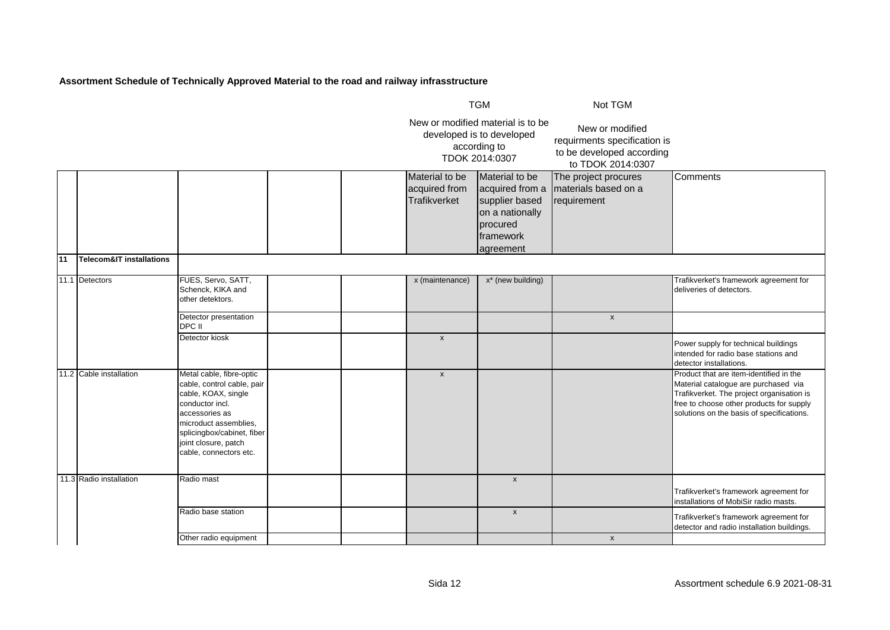|    |                          |                                                                                                                                                                                                                             |  |                                                 | <b>TGM</b>                                                                                                            | Not TGM                                                                                           |                                                                                                                                                                                                                       |
|----|--------------------------|-----------------------------------------------------------------------------------------------------------------------------------------------------------------------------------------------------------------------------|--|-------------------------------------------------|-----------------------------------------------------------------------------------------------------------------------|---------------------------------------------------------------------------------------------------|-----------------------------------------------------------------------------------------------------------------------------------------------------------------------------------------------------------------------|
|    |                          |                                                                                                                                                                                                                             |  |                                                 | New or modified material is to be<br>developed is to developed<br>according to<br>TDOK 2014:0307                      | New or modified<br>requirments specification is<br>to be developed according<br>to TDOK 2014:0307 |                                                                                                                                                                                                                       |
|    |                          |                                                                                                                                                                                                                             |  | Material to be<br>acquired from<br>Trafikverket | Material to be<br>acquired from a<br>supplier based<br>on a nationally<br>procured<br><b>Iframework</b><br>lagreement | The project procures<br>materials based on a<br>requirement                                       | Comments                                                                                                                                                                                                              |
| 11 | Telecom&IT installations |                                                                                                                                                                                                                             |  |                                                 |                                                                                                                       |                                                                                                   |                                                                                                                                                                                                                       |
|    | 11.1 Detectors           | FUES, Servo, SATT,<br>Schenck, KIKA and<br>other detektors.                                                                                                                                                                 |  | x (maintenance)                                 | x* (new building)                                                                                                     |                                                                                                   | Trafikverket's framework agreement for<br>deliveries of detectors.                                                                                                                                                    |
|    |                          | Detector presentation<br>DPC II                                                                                                                                                                                             |  |                                                 |                                                                                                                       | $\pmb{\mathsf{x}}$                                                                                |                                                                                                                                                                                                                       |
|    |                          | Detector kiosk                                                                                                                                                                                                              |  | $\boldsymbol{\mathsf{x}}$                       |                                                                                                                       |                                                                                                   | Power supply for technical buildings<br>intended for radio base stations and<br>detector installations.                                                                                                               |
|    | 11.2 Cable installation  | Metal cable, fibre-optic<br>cable, control cable, pair<br>cable, KOAX, single<br>conductor incl.<br>accessories as<br>microduct assemblies,<br>splicingbox/cabinet, fiber<br>joint closure, patch<br>cable, connectors etc. |  | $\boldsymbol{x}$                                |                                                                                                                       |                                                                                                   | Product that are item-identified in the<br>Material catalogue are purchased via<br>Trafikverket. The project organisation is<br>free to choose other products for supply<br>solutions on the basis of specifications. |
|    | 11.3 Radio installation  | Radio mast                                                                                                                                                                                                                  |  |                                                 | $\pmb{\mathsf{x}}$                                                                                                    |                                                                                                   | Trafikverket's framework agreement for<br>installations of MobiSir radio masts.                                                                                                                                       |
|    |                          | Radio base station                                                                                                                                                                                                          |  |                                                 | $\pmb{\mathsf{x}}$                                                                                                    |                                                                                                   | Trafikverket's framework agreement for<br>detector and radio installation buildings.                                                                                                                                  |
|    |                          | Other radio equipment                                                                                                                                                                                                       |  |                                                 |                                                                                                                       | $\mathsf{x}$                                                                                      |                                                                                                                                                                                                                       |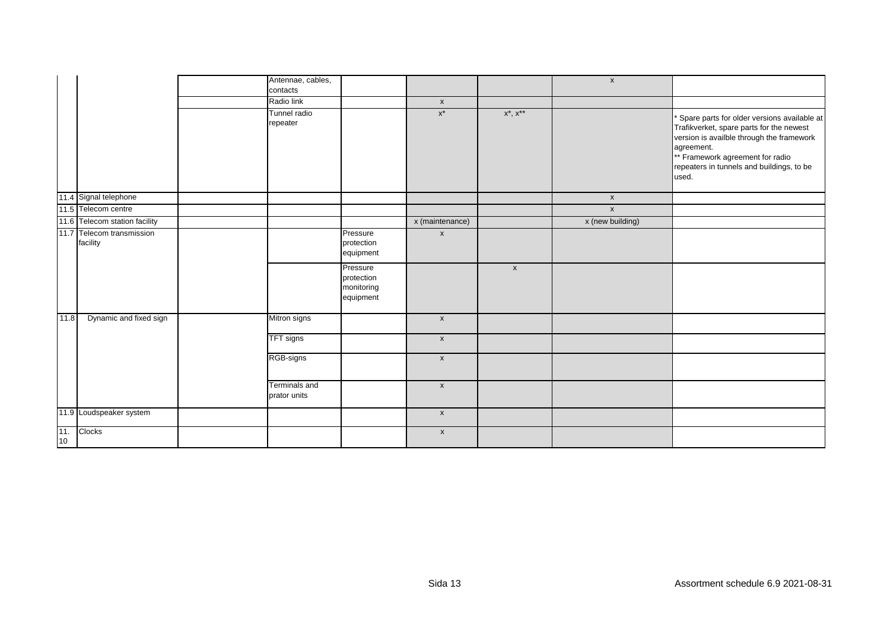|           |                                       | Antennae, cables,<br>contacts |                                                   |                           |                    | $\mathsf{x}$     |                                                                                                                                                                                                                                              |
|-----------|---------------------------------------|-------------------------------|---------------------------------------------------|---------------------------|--------------------|------------------|----------------------------------------------------------------------------------------------------------------------------------------------------------------------------------------------------------------------------------------------|
|           |                                       | Radio link                    |                                                   | $\mathsf{x}$              |                    |                  |                                                                                                                                                                                                                                              |
|           |                                       | Tunnel radio<br>repeater      |                                                   | $\mathsf{X}^\star$        | $x^*$ , $x^{**}$   |                  | Spare parts for older versions available at<br>Trafikverket, spare parts for the newest<br>version is availble through the framework<br>agreement.<br>** Framework agreement for radio<br>repeaters in tunnels and buildings, to be<br>used. |
|           | 11.4 Signal telephone                 |                               |                                                   |                           |                    | $\mathsf{x}$     |                                                                                                                                                                                                                                              |
|           | 11.5 Telecom centre                   |                               |                                                   |                           |                    | $\mathsf{x}$     |                                                                                                                                                                                                                                              |
|           | 11.6 Telecom station facility         |                               |                                                   | x (maintenance)           |                    | x (new building) |                                                                                                                                                                                                                                              |
|           | 11.7 Telecom transmission<br>facility |                               | Pressure<br>protection<br>equipment               | $\boldsymbol{\mathsf{x}}$ |                    |                  |                                                                                                                                                                                                                                              |
|           |                                       |                               | Pressure<br>protection<br>monitoring<br>equipment |                           | $\pmb{\mathsf{X}}$ |                  |                                                                                                                                                                                                                                              |
| 11.8      | Dynamic and fixed sign                | Mitron signs                  |                                                   | $\mathsf{x}$              |                    |                  |                                                                                                                                                                                                                                              |
|           |                                       | TFT signs                     |                                                   | $\mathsf{x}$              |                    |                  |                                                                                                                                                                                                                                              |
|           |                                       | RGB-signs                     |                                                   | $\mathsf X$               |                    |                  |                                                                                                                                                                                                                                              |
|           |                                       | Terminals and<br>prator units |                                                   | $\mathsf X$               |                    |                  |                                                                                                                                                                                                                                              |
|           | 11.9 Loudspeaker system               |                               |                                                   | $\mathsf{x}$              |                    |                  |                                                                                                                                                                                                                                              |
| 11.<br>10 | Clocks                                |                               |                                                   | $\mathsf{x}$              |                    |                  |                                                                                                                                                                                                                                              |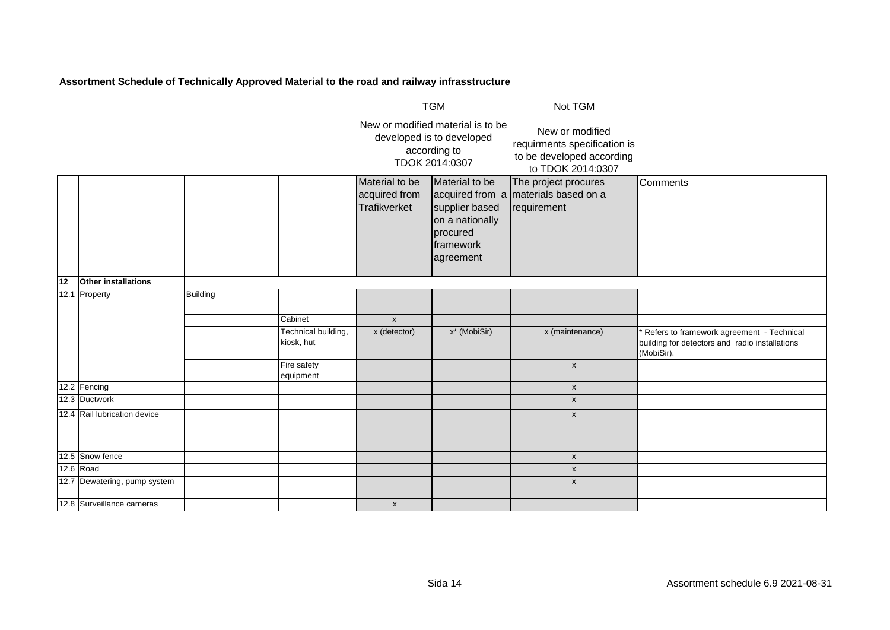|    |                              | <b>TGM</b>      |                                   |                                                                                                  | Not TGM                                                                                   |                                                                                                   |                                                                                                           |
|----|------------------------------|-----------------|-----------------------------------|--------------------------------------------------------------------------------------------------|-------------------------------------------------------------------------------------------|---------------------------------------------------------------------------------------------------|-----------------------------------------------------------------------------------------------------------|
|    |                              |                 |                                   | New or modified material is to be<br>developed is to developed<br>according to<br>TDOK 2014:0307 |                                                                                           | New or modified<br>requirments specification is<br>to be developed according<br>to TDOK 2014:0307 |                                                                                                           |
|    |                              |                 |                                   | Material to be<br>acquired from<br>Trafikverket                                                  | Material to be<br>supplier based<br>on a nationally<br>procured<br>framework<br>agreement | The project procures<br>acquired from a materials based on a<br>requirement                       | <b>Comments</b>                                                                                           |
| 12 | Other installations          |                 |                                   |                                                                                                  |                                                                                           |                                                                                                   |                                                                                                           |
|    | 12.1 Property                | <b>Building</b> | Cabinet                           | $\boldsymbol{\mathsf{x}}$                                                                        |                                                                                           |                                                                                                   |                                                                                                           |
|    |                              |                 | Technical building,<br>kiosk, hut | x (detector)                                                                                     | x* (MobiSir)                                                                              | x (maintenance)                                                                                   | Refers to framework agreement - Technical<br>building for detectors and radio installations<br>(MobiSir). |
|    |                              |                 | Fire safety<br>equipment          |                                                                                                  |                                                                                           | $\pmb{\mathsf{x}}$                                                                                |                                                                                                           |
|    | 12.2 Fencing                 |                 |                                   |                                                                                                  |                                                                                           | $\mathsf X$                                                                                       |                                                                                                           |
|    | 12.3 Ductwork                |                 |                                   |                                                                                                  |                                                                                           | $\pmb{\mathsf{x}}$                                                                                |                                                                                                           |
|    | 12.4 Rail lubrication device |                 |                                   |                                                                                                  |                                                                                           | $\pmb{\mathsf{x}}$                                                                                |                                                                                                           |
|    | 12.5 Snow fence              |                 |                                   |                                                                                                  |                                                                                           | $\pmb{\mathsf{X}}$                                                                                |                                                                                                           |
|    | $12.6$ Road                  |                 |                                   |                                                                                                  |                                                                                           | $\pmb{\mathsf{X}}$                                                                                |                                                                                                           |
|    | 12.7 Dewatering, pump system |                 |                                   |                                                                                                  |                                                                                           | $\mathsf{x}$                                                                                      |                                                                                                           |
|    | 12.8 Surveillance cameras    |                 |                                   | $\pmb{\mathsf{x}}$                                                                               |                                                                                           |                                                                                                   |                                                                                                           |